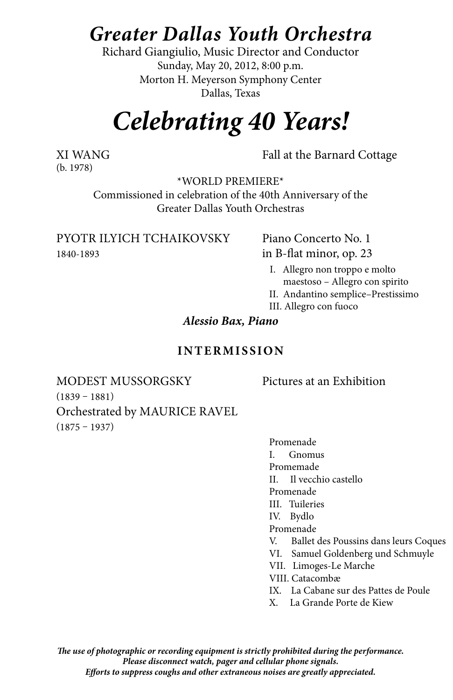## *Greater Dallas Youth Orchestra*

Richard Giangiulio, Music Director and Conductor Sunday, May 20, 2012, 8:00 p.m. Morton H. Meyerson Symphony Center Dallas, Texas

# *Celebrating 40 Years!*

(b. 1978)

XI WANG Fall at the Barnard Cottage

\*WORLD PREMIERE\*

Commissioned in celebration of the 40th Anniversary of the Greater Dallas Youth Orchestras

PYOtr Ilyich Tchaikovsky Piano Concerto No. 1 1840-1893 in B-flat minor, op. 23

- I. Allegro non troppo e molto maestoso – Allegro con spirito
- II. Andantino semplice–Prestissimo
- III. Allegro con fuoco

*Alessio Bax, Piano*

#### **Intermis sion**

MODEST MUSSORGSKY Pictures at an Exhibition (1839 – 1881) Orchestrated by MAURICE RAVEL  $(1875 - 1937)$ 

Promenade I. Gnomus Promemade II. Il vecchio castello Promenade III. Tuileries IV. Bydlo Promenade V. Ballet des Poussins dans leurs Coques VI. Samuel Goldenberg und Schmuyle VII. Limoges-Le Marche VIII. Catacombæ IX. La Cabane sur des Pattes de Poule X. La Grande Porte de Kiew

*The use of photographic or recording equipment is strictly prohibited during the performance. Please disconnect watch, pager and cellular phone signals. Efforts to suppress coughs and other extraneous noises are greatly appreciated.*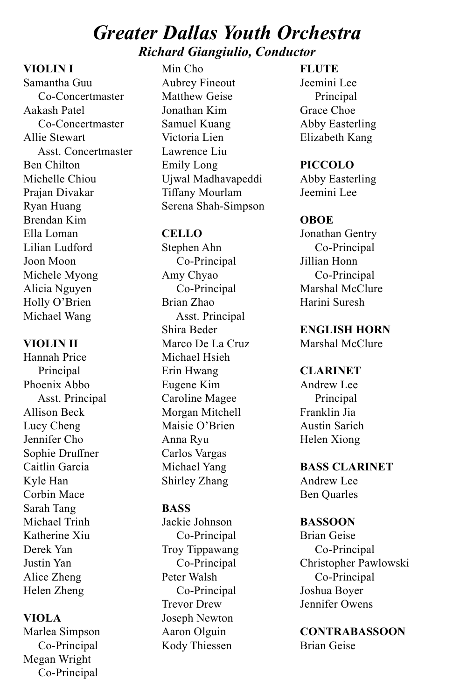## *Greater Dallas Youth Orchestra Richard Giangiulio, Conductor*

#### **VIOLIN I**

Samantha Guu Co-Concertmaster Aakash Patel Co-Concertmaster Allie Stewart Asst. Concertmaster Ben Chilton Michelle Chiou Prajan Divakar Ryan Huang Brendan Kim Ella Loman Lilian Ludford Joon Moon Michele Myong Alicia Nguyen Holly O'Brien Michael Wang

#### **VIOLIN II**

Hannah Price Principal Phoenix Abbo Asst. Principal Allison Beck Lucy Cheng Jennifer Cho Sophie Druffner Caitlin Garcia Kyle Han Corbin Mace Sarah Tang Michael Trinh Katherine Xiu Derek Yan Justin Yan Alice Zheng Helen Zheng

#### **VIOLA**

Marlea Simpson Co-Principal Megan Wright Co-Principal

Min Cho Aubrey Fineout Matthew Geise Jonathan Kim Samuel Kuang Victoria Lien Lawrence Liu Emily Long Ujwal Madhavapeddi Tiffany Mourlam Serena Shah-Simpson

#### **CELLO**

Stephen Ahn Co-Principal Amy Chyao Co-Principal Brian Zhao Asst. Principal Shira Beder Marco De La Cruz Michael Hsieh Erin Hwang Eugene Kim Caroline Magee Morgan Mitchell Maisie O'Brien Anna Ryu Carlos Vargas Michael Yang Shirley Zhang

#### **BASS**

Jackie Johnson Co-Principal Troy Tippawang Co-Principal Peter Walsh Co-Principal Trevor Drew Joseph Newton Aaron Olguin Kody Thiessen

**FLUTE** 

Jeemini Lee Principal Grace Choe Abby Easterling Elizabeth Kang

**PICCOLO** Abby Easterling Jeemini Lee

#### **OBOE**

Jonathan Gentry Co-Principal Jillian Honn Co-Principal Marshal McClure Harini Suresh

**ENGLISH HORN**

Marshal McClure

#### **CLARINET**

Andrew Lee Principal Franklin Jia Austin Sarich Helen Xiong

## **BASS CLARINET**

Andrew Lee Ben Quarles

#### **BASSOON**

Brian Geise Co-Principal Christopher Pawlowski Co-Principal Joshua Boyer Jennifer Owens

#### **CONTRABASSOON** Brian Geise